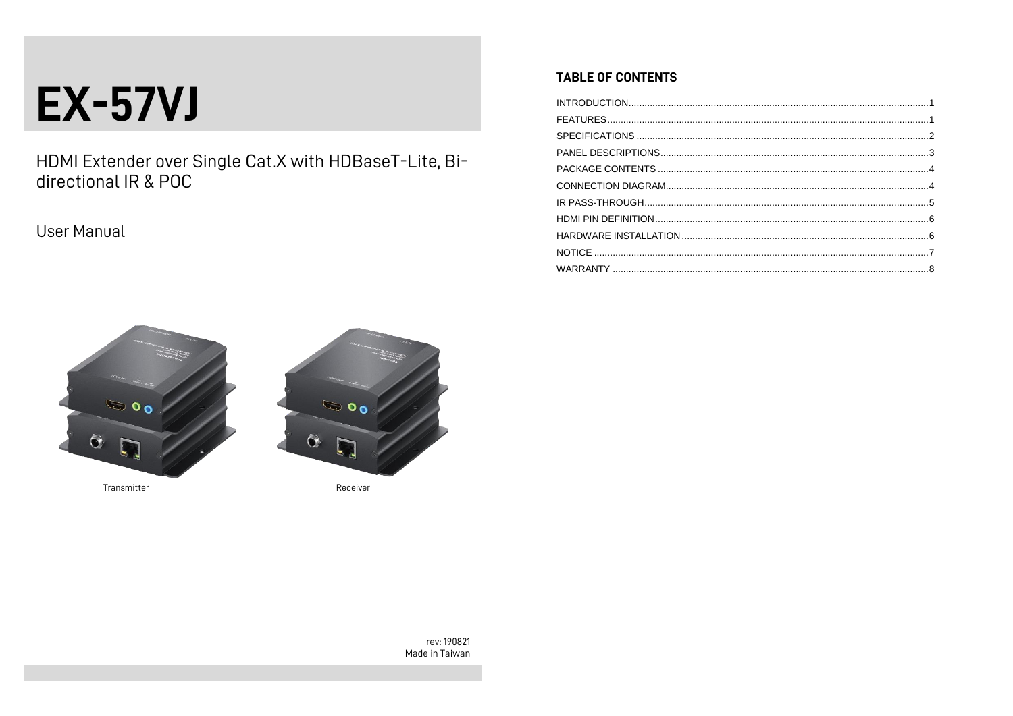# **EX-57VJ**

HDMI Extender over Single Cat.X with HDBaseT-Lite, Bi-<br>directional IR & POC

User Manual

# **TABLE OF CONTENTS**





rev: 190821 Made in Taiwan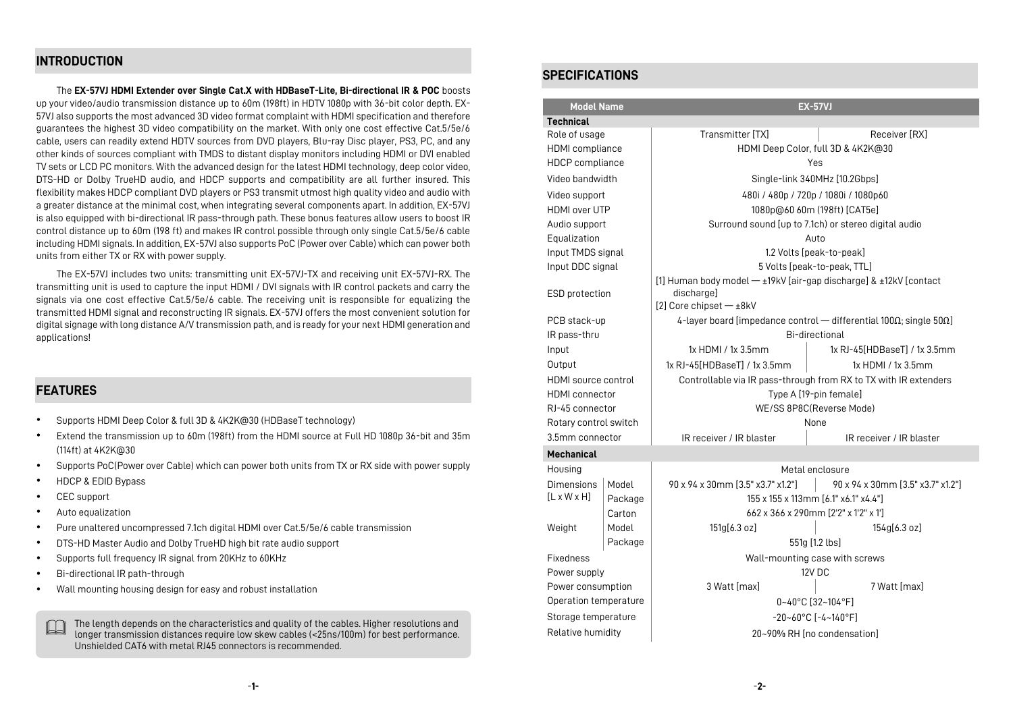# **INTRODUCTION**

The **EX-57VJ HDMI Extender over Single Cat.X with HDBaseT-Lite, Bi-directional IR & POC** boosts up your video/audio transmission distance up to 60m (198ft) in HDTV 1080p with 36-bit color depth. EX-57VJ also supports the most advanced 3D video format complaint with HDMI specification and therefore guarantees the highest 3D video compatibility on the market. With only one cost effective Cat.5/5e/6 cable, users can readily extend HDTV sources from DVD players, Blu-ray Disc player, PS3, PC, and any other kinds of sources compliant with TMDS to distant display monitors including HDMI or DVI enabled TV sets or LCD PC monitors. With the advanced design for the latest HDMI technology, deep color video, DTS-HD or Dolby TrueHD audio, and HDCP supports and compatibility are all further insured. This flexibility makes HDCP compliant DVD players or PS3 transmit utmost high quality video and audio with a greater distance at the minimal cost, when integrating several components apart. In addition, EX-57VJ is also equipped with bi-directional IR pass-through path. These bonus features allow users to boost IR control distance up to 60m (198 ft) and makes IR control possible through only single Cat.5/5e/6 cable including HDMI signals. In addition, EX-57VJ also supports PoC (Power over Cable) which can power both units from either TX or RX with power supply.

The EX-57VJ includes two units: transmitting unit EX-57VJ-TX and receiving unit EX-57VJ-RX. The transmitting unit is used to capture the input HDMI / DVI signals with IR control packets and carry the signals via one cost effective Cat.5/5e/6 cable. The receiving unit is responsible for equalizing the transmitted HDMI signal and reconstructing IR signals. EX-57VJ offers the most convenient solution for digital signage with long distance A/V transmission path, and is ready for your next HDMI generation and applications!

# **FEATURES**

- Supports HDMI Deep Color & full 3D & 4K2K@30 (HDBaseT technology)
- Extend the transmission up to 60m (198ft) from the HDMI source at Full HD 1080p 36-bit and 35m (114ft) at 4K2K@30
- Supports PoC(Power over Cable) which can power both units from TX or RX side with power supply
- HDCP & EDID Bypass
- CEC support
- Auto equalization
- Pure unaltered uncompressed 7.1ch digital HDMI over Cat.5/5e/6 cable transmission
- DTS-HD Master Audio and Dolby TrueHD high bit rate audio support
- Supports full frequency IR signal from 20KHz to 60KHz
- Bi-directional IR path-through
- Wall mounting housing design for easy and robust installation

The length depends on the characteristics and quality of the cables. Higher resolutions and<br>league tensories distances results low distance which ( $2\text{Fe}/100\text{m}$ ) for heat externance longer transmission distances require low skew cables (<25ns/100m) for best performance. Unshielded CAT6 with metal RJ45 connectors is recommended.

## **SPECIFICATIONS**

|                         | <b>Model Name</b><br><b>EX-57VJ</b>                                                     |                                                                                       |                                    |  |  |
|-------------------------|-----------------------------------------------------------------------------------------|---------------------------------------------------------------------------------------|------------------------------------|--|--|
| <b>Technical</b>        |                                                                                         |                                                                                       |                                    |  |  |
| Role of usage           |                                                                                         | <b>Transmitter [TX]</b>                                                               | Receiver [RX]                      |  |  |
| HDMI compliance         |                                                                                         |                                                                                       | HDMI Deep Color, full 3D & 4K2K@30 |  |  |
| HDCP compliance         |                                                                                         |                                                                                       | Yes                                |  |  |
| Video bandwidth         |                                                                                         |                                                                                       | Single-link 340MHz [10.2Gbps]      |  |  |
| Video support           |                                                                                         | 480i / 480p / 720p / 1080i / 1080p60                                                  |                                    |  |  |
| HDMI over UTP           |                                                                                         | 1080p@60 60m (198ft) [CAT5e]                                                          |                                    |  |  |
| Audio support           |                                                                                         | Surround sound [up to 7.1ch) or stereo digital audio                                  |                                    |  |  |
| Equalization            |                                                                                         | Auto                                                                                  |                                    |  |  |
| Input TMDS signal       |                                                                                         | 1.2 Volts [peak-to-peak]                                                              |                                    |  |  |
| Input DDC signal        |                                                                                         | 5 Volts [peak-to-peak, TTL]                                                           |                                    |  |  |
| ESD protection          |                                                                                         | [1] Human body model - ±19kV [air-gap discharge] & ±12kV [contact<br>discharge]       |                                    |  |  |
|                         |                                                                                         | [2] Core chipset - ±8kV                                                               |                                    |  |  |
| PCB stack-up            |                                                                                         | 4-layer board [impedance control $-$ differential 100 $\Omega$ ; single 50 $\Omega$ ] |                                    |  |  |
| IR pass-thru            |                                                                                         | Bi-directional                                                                        |                                    |  |  |
| Input                   |                                                                                         | 1x HDMI / 1x 3.5mm                                                                    | 1x RJ-45[HDBaseT] / 1x 3.5mm       |  |  |
| Output                  |                                                                                         | 1x RJ-45[HDBaseT] / 1x 3.5mm                                                          | 1x HDMI / 1x 3.5mm                 |  |  |
|                         | Controllable via IR pass-through from RX to TX with IR extenders<br>HDMI source control |                                                                                       |                                    |  |  |
| <b>HDMI</b> connector   |                                                                                         | Type A [19-pin female]                                                                |                                    |  |  |
| RJ-45 connector         |                                                                                         | WE/SS 8P8C(Reverse Mode)                                                              |                                    |  |  |
| Rotary control switch   |                                                                                         |                                                                                       | None                               |  |  |
| 3.5mm connector         |                                                                                         | IR receiver / IR blaster                                                              | IR receiver / IR blaster           |  |  |
| <b>Mechanical</b>       |                                                                                         |                                                                                       |                                    |  |  |
| Housing                 | Metal enclosure                                                                         |                                                                                       |                                    |  |  |
| <b>Dimensions</b>       | Model                                                                                   | 90 x 94 x 30mm [3.5" x3.7" x1.2"]                                                     | 90 x 94 x 30mm [3.5" x3.7" x1.2"]  |  |  |
| $[L \times W \times H]$ | Package                                                                                 | 155 x 155 x 113mm [6.1" x6.1" x4.4"]                                                  |                                    |  |  |
|                         | Carton                                                                                  | 662 x 366 x 290mm [2'2" x 1'2" x 1']                                                  |                                    |  |  |
| Weight                  | Model                                                                                   | 151g[6.3 oz]                                                                          | 154g[6.3 oz]                       |  |  |
|                         | Package                                                                                 |                                                                                       | 551g [1.2 lbs]                     |  |  |
| <b>Fixedness</b>        |                                                                                         | Wall-mounting case with screws                                                        |                                    |  |  |
| Power supply            |                                                                                         |                                                                                       | 12V DC                             |  |  |
| Power consumption       |                                                                                         | 3 Watt [max]                                                                          | 7 Watt [max]                       |  |  |
| Operation temperature   |                                                                                         | $0 - 40^{\circ}$ C [32~104°F]                                                         |                                    |  |  |
| Storage temperature     |                                                                                         | $-20 - 60^{\circ}$ C [ $-4 - 140^{\circ}$ F]                                          |                                    |  |  |
| Relative humidity       |                                                                                         | 20~90% RH Ino condensation1                                                           |                                    |  |  |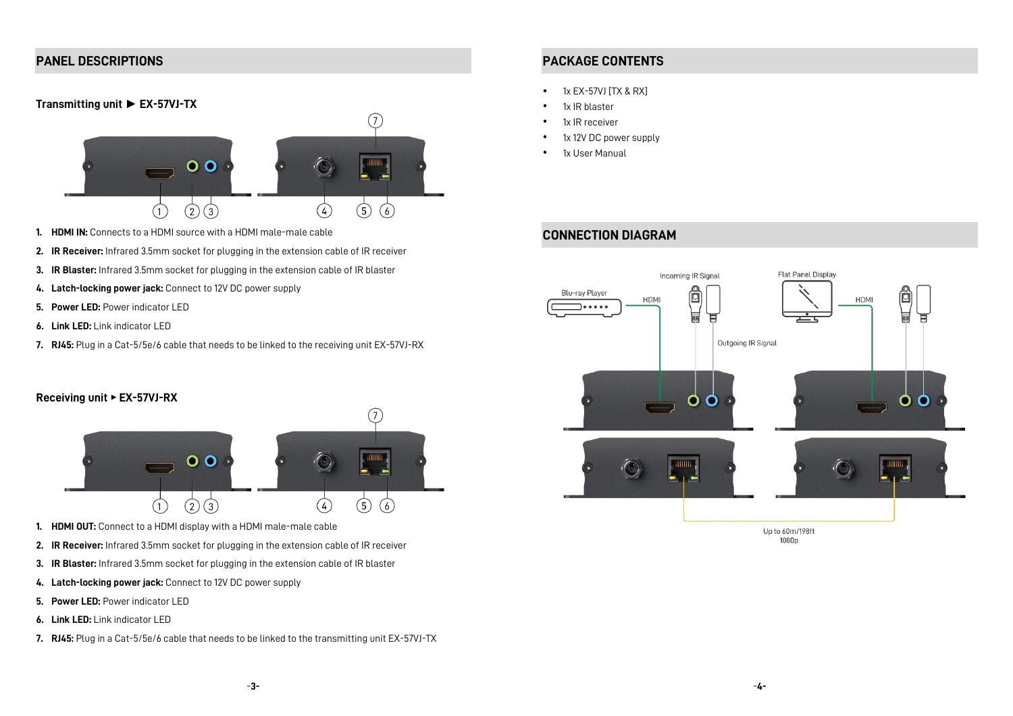# **PANEL DESCRIPTIONS**

## **Transmitting unit ► EX-57VJ-TX**



- **1. HDMI IN:** Connects to a HDMI source with a HDMI male-male cable
- **2. IR Receiver:** Infrared 3.5mm socket for plugging in the extension cable of IR receiver
- **3. IR Blaster:** Infrared 3.5mm socket for plugging in the extension cable of IR blaster
- **4. Latch-locking power jack:** Connect to 12V DC power supply
- **5. Power LED:** Power indicator LED
- **6. Link LED:** Link indicator LED
- **7. RJ45:** Plug in a Cat-5/5e/6 cable that needs to be linked to the receiving unit EX-57VJ-RX

## **Receiving unit** ► **EX-57VJ-RX**



- **1. HDMI OUT:** Connect to a HDMI display with a HDMI male-male cable
- **2. IR Receiver:** Infrared 3.5mm socket for plugging in the extension cable of IR receiver
- **3. IR Blaster:** Infrared 3.5mm socket for plugging in the extension cable of IR blaster
- **4. Latch-locking power jack:** Connect to 12V DC power supply
- **5. Power LED:** Power indicator LED
- **6. Link LED:** Link indicator LED
- **7. RJ45:** Plug in a Cat-5/5e/6 cable that needs to be linked to the transmitting unit EX-57VJ-TX

# **PACKAGE CONTENTS**

- $\bullet$  1x EX-57VJ [TX & RX]
- 1x IR blaster
- 1x IR receiver
- 1x 12V DC power supply
- 1x User Manual

# **CONNECTION DIAGRAM**



1080<sub>p</sub>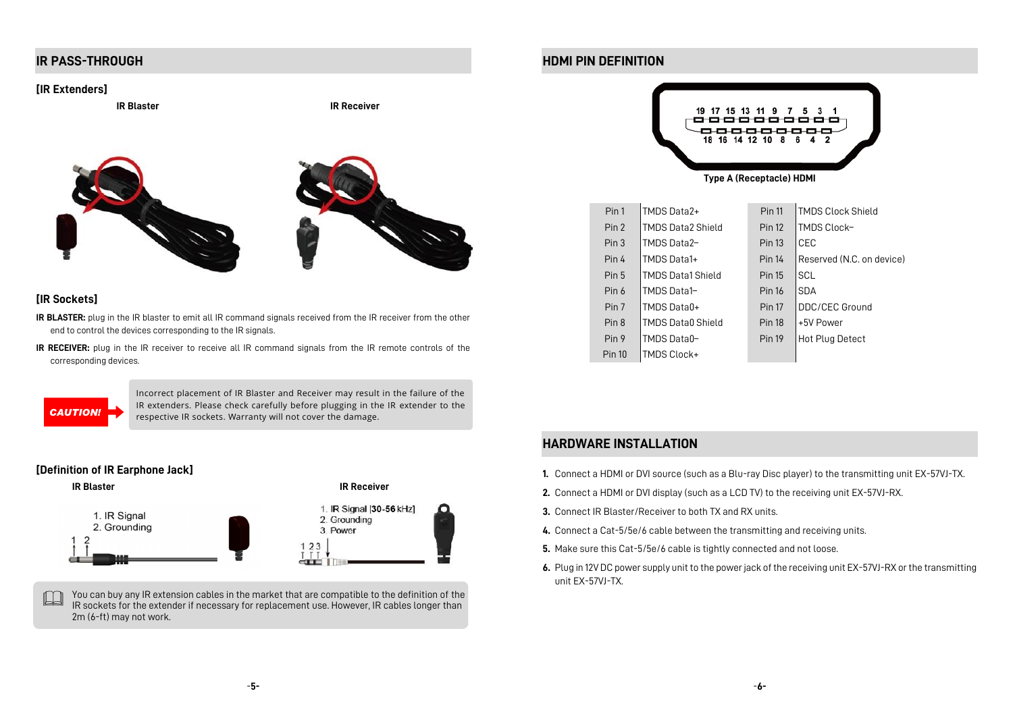# **IR PASS-THROUGH**

#### **[IR Extenders]**

**IR Blaster IR Receiver**







## **[IR Sockets]**

- **IR BLASTER:** plug in the IR blaster to emit all IR command signals received from the IR receiver from the other end to control the devices corresponding to the IR signals.
- **IR RECEIVER:** plug in the IR receiver to receive all IR command signals from the IR remote controls of the corresponding devices.



Incorrect placement of IR Blaster and Receiver may result in the failure of the IR extenders. Please check carefully before plugging in the IR extender to the respective IR sockets. Warranty will not cover the damage. *CAUTION!*



You can buy any IR extension cables in the market that are compatible to the definition of the IR sockets for the extender if necessary for replacement use. However, IR cables longer than 2m (6-ft) may not work.

# **HDMI PIN DEFINITION**



| Pin 1            | TMDS Data2+              | <b>Pin 11</b> | <b>TMDS Clock Shield</b>  |
|------------------|--------------------------|---------------|---------------------------|
| Pin 2            | <b>TMDS Data2 Shield</b> | <b>Pin 12</b> | TMDS Clock-               |
| Pin <sub>3</sub> | <b>TMDS Data2-</b>       | <b>Pin 13</b> | CEC                       |
| Pin 4            | TMDS Data1+              | <b>Pin 14</b> | Reserved (N.C. on device) |
| Pin 5            | <b>TMDS Data1 Shield</b> | <b>Pin 15</b> | SCL                       |
| Pin 6            | <b>TMDS Data1-</b>       | <b>Pin 16</b> | <b>SDA</b>                |
| Pin 7            | <b>TMDS Data0+</b>       | <b>Pin 17</b> | DDC/CEC Ground            |
| Pin 8            | <b>TMDS Data0 Shield</b> | <b>Pin 18</b> | +5V Power                 |
| Pin 9            | TMDS Data0-              | <b>Pin 19</b> | Hot Plug Detect           |
| <b>Pin 10</b>    | TMDS Clock+              |               |                           |

# **HARDWARE INSTALLATION**

- **1.** Connect a HDMI or DVI source (such as a Blu-ray Disc player) to the transmitting unit EX-57VJ-TX.
- **2.** Connect a HDMI or DVI display (such as a LCD TV) to the receiving unit EX-57VJ-RX.
- **3.** Connect IR Blaster/Receiver to both TX and RX units.
- **4.** Connect a Cat-5/5e/6 cable between the transmitting and receiving units.
- **5.** Make sure this Cat-5/5e/6 cable is tightly connected and not loose.
- **6.** Plug in 12V DC power supply unit to the power jack of the receiving unit EX-57VJ-RX or the transmitting unit EX-57VJ-TX.